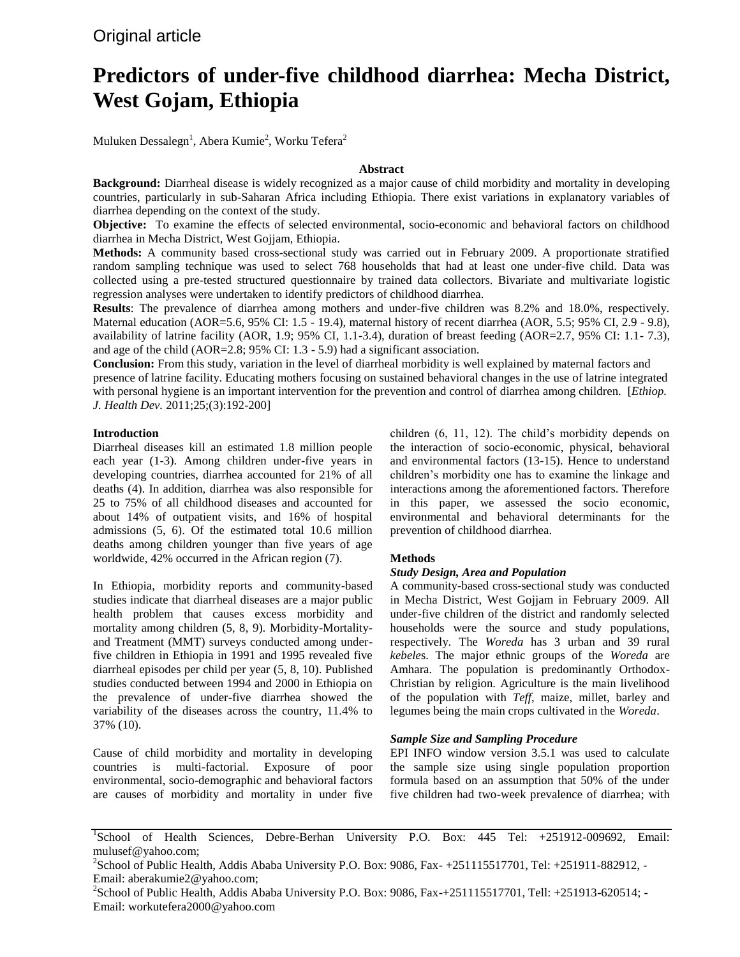Original article

# **Predictors of under-five childhood diarrhea: Mecha District, West Gojam, Ethiopia**

Muluken Dessalegn $^{\rm l}$ , Abera Kumie $^{\rm 2}$ , Worku Tefera $^{\rm 2}$ 

## **Abstract**

**Background:** Diarrheal disease is widely recognized as a major cause of child morbidity and mortality in developing countries, particularly in sub-Saharan Africa including Ethiopia. There exist variations in explanatory variables of diarrhea depending on the context of the study.

**Objective:** To examine the effects of selected environmental, socio-economic and behavioral factors on childhood diarrhea in Mecha District, West Gojjam, Ethiopia.

**Methods:** A community based cross-sectional study was carried out in February 2009. A proportionate stratified random sampling technique was used to select 768 households that had at least one under-five child. Data was collected using a pre-tested structured questionnaire by trained data collectors. Bivariate and multivariate logistic regression analyses were undertaken to identify predictors of childhood diarrhea.

**Results**: The prevalence of diarrhea among mothers and under-five children was 8.2% and 18.0%, respectively. Maternal education (AOR=5.6, 95% CI: 1.5 - 19.4), maternal history of recent diarrhea (AOR, 5.5; 95% CI, 2.9 - 9.8), availability of latrine facility (AOR, 1.9; 95% CI, 1.1-3.4), duration of breast feeding (AOR=2.7, 95% CI: 1.1- 7.3), and age of the child (AOR=2.8; 95% CI: 1.3 - 5.9) had a significant association.

**Conclusion:** From this study, variation in the level of diarrheal morbidity is well explained by maternal factors and presence of latrine facility. Educating mothers focusing on sustained behavioral changes in the use of latrine integrated with personal hygiene is an important intervention for the prevention and control of diarrhea among children. [*Ethiop. J. Health Dev.* 2011;25;(3):192-200]

#### **Introduction**

Diarrheal diseases kill an estimated 1.8 million people each year (1-3). Among children under-five years in developing countries, diarrhea accounted for 21% of all deaths (4). In addition, diarrhea was also responsible for 25 to 75% of all childhood diseases and accounted for about 14% of outpatient visits, and 16% of hospital admissions (5, 6). Of the estimated total 10.6 million deaths among children younger than five years of age worldwide, 42% occurred in the African region (7).

In Ethiopia, morbidity reports and community-based studies indicate that diarrheal diseases are a major public health problem that causes excess morbidity and mortality among children (5, 8, 9). Morbidity-Mortalityand Treatment (MMT) surveys conducted among underfive children in Ethiopia in 1991 and 1995 revealed five diarrheal episodes per child per year (5, 8, 10). Published studies conducted between 1994 and 2000 in Ethiopia on the prevalence of under-five diarrhea showed the variability of the diseases across the country, 11.4% to 37% (10).

Cause of child morbidity and mortality in developing countries is multi-factorial. Exposure of poor environmental, socio-demographic and behavioral factors are causes of morbidity and mortality in under five

children (6, 11, 12). The child's morbidity depends on the interaction of socio-economic, physical, behavioral and environmental factors (13-15). Hence to understand children's morbidity one has to examine the linkage and interactions among the aforementioned factors. Therefore in this paper, we assessed the socio economic, environmental and behavioral determinants for the prevention of childhood diarrhea.

# **Methods**

#### *Study Design, Area and Population*

A community-based cross-sectional study was conducted in Mecha District, West Gojjam in February 2009. All under-five children of the district and randomly selected households were the source and study populations, respectively. The *Woreda* has 3 urban and 39 rural *kebele*s. The major ethnic groups of the *Woreda* are Amhara. The population is predominantly Orthodox-Christian by religion. Agriculture is the main livelihood of the population with *Teff,* maize, millet, barley and legumes being the main crops cultivated in the *Woreda*.

#### *Sample Size and Sampling Procedure*

EPI INFO window version 3.5.1 was used to calculate the sample size using single population proportion formula based on an assumption that 50% of the under five children had two-week prevalence of diarrhea; with

<sup>&</sup>lt;sup>1</sup>School of Health Sciences, Debre-Berhan University P.O. Box: 445 Tel: +251912-009692, Email: mulusef@yahoo.com;

<sup>&</sup>lt;sup>2</sup> School of Public Health, Addis Ababa University P.O. Box: 9086, Fax- +251115517701, Tel: +251911-882912, -Email: aberakumie2@yahoo.com;

<sup>&</sup>lt;sup>2</sup>School of Public Health, Addis Ababa University P.O. Box: 9086, Fax-+251115517701, Tell: +251913-620514; -Email: workutefera2000@yahoo.com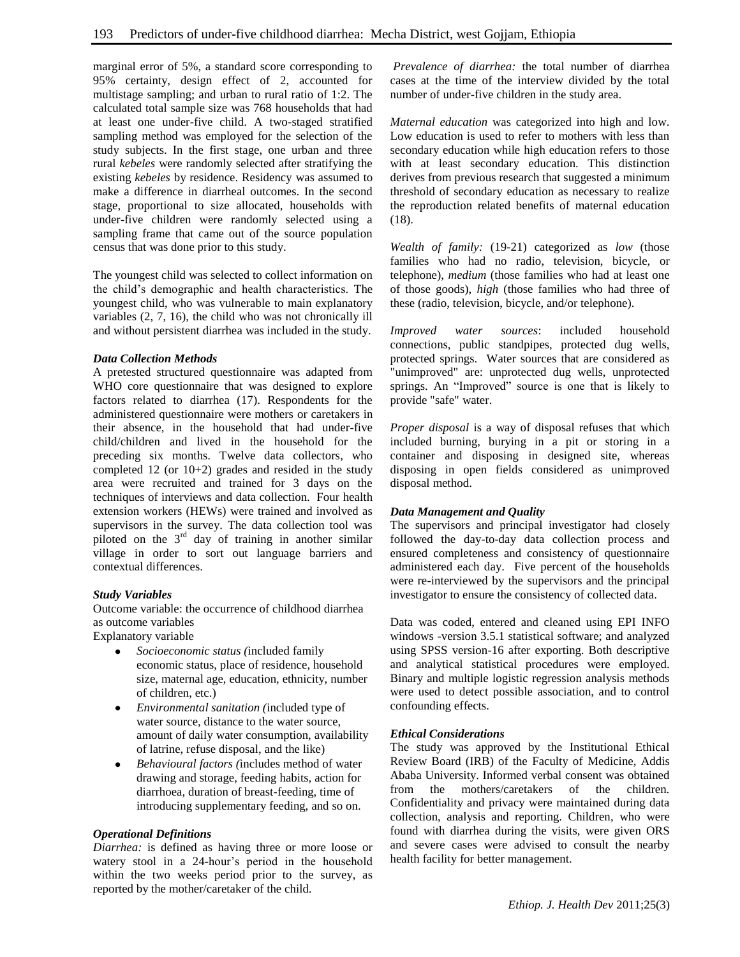marginal error of 5%, a standard score corresponding to 95% certainty, design effect of 2, accounted for multistage sampling; and urban to rural ratio of 1:2. The calculated total sample size was 768 households that had at least one under-five child. A two-staged stratified sampling method was employed for the selection of the study subjects. In the first stage, one urban and three rural *kebeles* were randomly selected after stratifying the existing *kebeles* by residence. Residency was assumed to make a difference in diarrheal outcomes. In the second stage, proportional to size allocated, households with under-five children were randomly selected using a sampling frame that came out of the source population census that was done prior to this study.

The youngest child was selected to collect information on the child's demographic and health characteristics. The youngest child, who was vulnerable to main explanatory variables (2, 7, 16), the child who was not chronically ill and without persistent diarrhea was included in the study.

# *Data Collection Methods*

A pretested structured questionnaire was adapted from WHO core questionnaire that was designed to explore factors related to diarrhea (17). Respondents for the administered questionnaire were mothers or caretakers in their absence, in the household that had under-five child/children and lived in the household for the preceding six months. Twelve data collectors, who completed 12 (or 10+2) grades and resided in the study area were recruited and trained for 3 days on the techniques of interviews and data collection. Four health extension workers (HEWs) were trained and involved as supervisors in the survey. The data collection tool was piloted on the  $3<sup>rd</sup>$  day of training in another similar village in order to sort out language barriers and contextual differences.

## *Study Variables*

Outcome variable: the occurrence of childhood diarrhea as outcome variables

Explanatory variable

- $\bullet$ *Socioeconomic status (*included family economic status, place of residence, household size, maternal age, education, ethnicity, number of children, etc.)
- *Environmental sanitation (*included type of  $\bullet$ water source, distance to the water source, amount of daily water consumption, availability of latrine, refuse disposal, and the like)
- *Behavioural factors (*includes method of water drawing and storage, feeding habits, action for diarrhoea, duration of breast-feeding, time of introducing supplementary feeding, and so on.

## *Operational Definitions*

*Diarrhea:* is defined as having three or more loose or watery stool in a 24-hour's period in the household within the two weeks period prior to the survey, as reported by the mother/caretaker of the child*.*

*Prevalence of diarrhea:* the total number of diarrhea cases at the time of the interview divided by the total number of under-five children in the study area.

*Maternal education* was categorized into high and low. Low education is used to refer to mothers with less than secondary education while high education refers to those with at least secondary education. This distinction derives from previous research that suggested a minimum threshold of secondary education as necessary to realize the reproduction related benefits of maternal education (18).

*Wealth of family:* (19-21) categorized as *low* (those families who had no radio, television, bicycle, or telephone), *medium* (those families who had at least one of those goods), *high* (those families who had three of these (radio, television, bicycle, and/or telephone).

*Improved water sources*: included household connections, public standpipes, protected dug wells, protected springs. Water sources that are considered as "unimproved" are: unprotected dug wells, unprotected springs. An "Improved" source is one that is likely to provide "safe" water.

*Proper disposal* is a way of disposal refuses that which included burning, burying in a pit or storing in a container and disposing in designed site, whereas disposing in open fields considered as unimproved disposal method.

## *Data Management and Quality*

The supervisors and principal investigator had closely followed the day-to-day data collection process and ensured completeness and consistency of questionnaire administered each day. Five percent of the households were re-interviewed by the supervisors and the principal investigator to ensure the consistency of collected data.

Data was coded, entered and cleaned using EPI INFO windows -version 3.5.1 statistical software; and analyzed using SPSS version-16 after exporting. Both descriptive and analytical statistical procedures were employed. Binary and multiple logistic regression analysis methods were used to detect possible association, and to control confounding effects.

# *Ethical Considerations*

The study was approved by the Institutional Ethical Review Board (IRB) of the Faculty of Medicine, Addis Ababa University. Informed verbal consent was obtained from the mothers/caretakers of the children. Confidentiality and privacy were maintained during data collection, analysis and reporting. Children, who were found with diarrhea during the visits, were given ORS and severe cases were advised to consult the nearby health facility for better management.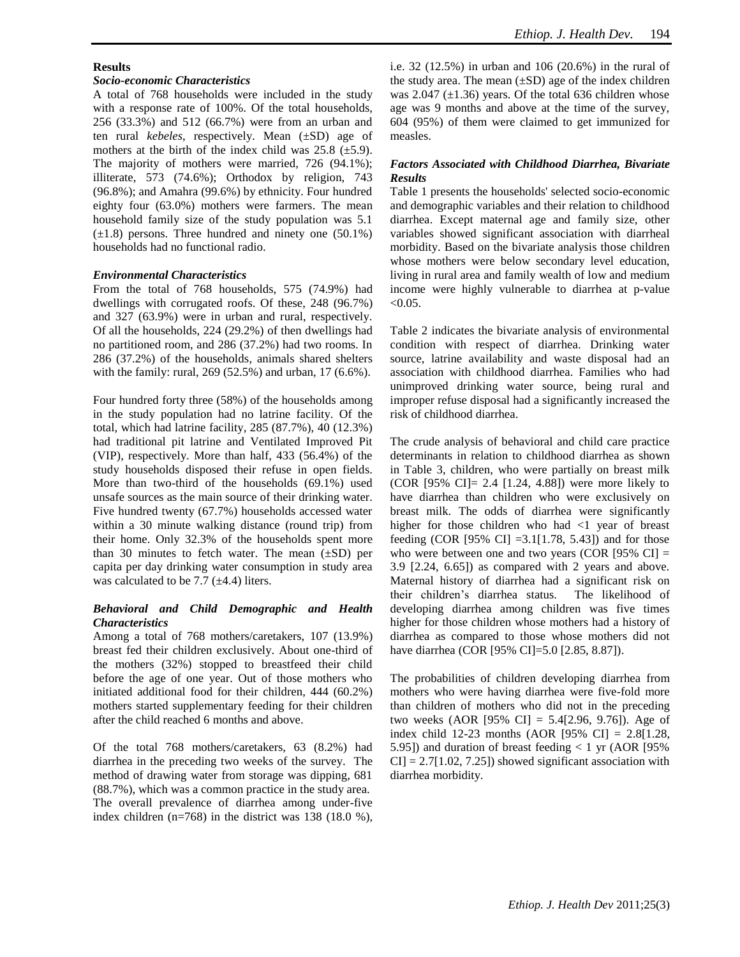## **Results**

## *Socio-economic Characteristics*

A total of 768 households were included in the study with a response rate of 100%. Of the total households, 256 (33.3%) and 512 (66.7%) were from an urban and ten rural *kebeles*, respectively. Mean (±SD) age of mothers at the birth of the index child was  $25.8$  ( $\pm$ 5.9). The majority of mothers were married, 726 (94.1%); illiterate, 573 (74.6%); Orthodox by religion, 743 (96.8%); and Amahra (99.6%) by ethnicity. Four hundred eighty four (63.0%) mothers were farmers. The mean household family size of the study population was 5.1  $(\pm 1.8)$  persons. Three hundred and ninety one (50.1%) households had no functional radio.

#### *Environmental Characteristics*

From the total of 768 households, 575 (74.9%) had dwellings with corrugated roofs. Of these, 248 (96.7%) and 327 (63.9%) were in urban and rural, respectively. Of all the households, 224 (29.2%) of then dwellings had no partitioned room, and 286 (37.2%) had two rooms. In 286 (37.2%) of the households, animals shared shelters with the family: rural, 269 (52.5%) and urban, 17 (6.6%).

Four hundred forty three (58%) of the households among in the study population had no latrine facility. Of the total, which had latrine facility, 285 (87.7%), 40 (12.3%) had traditional pit latrine and Ventilated Improved Pit (VIP), respectively. More than half, 433 (56.4%) of the study households disposed their refuse in open fields. More than two-third of the households (69.1%) used unsafe sources as the main source of their drinking water. Five hundred twenty (67.7%) households accessed water within a 30 minute walking distance (round trip) from their home. Only 32.3% of the households spent more than 30 minutes to fetch water. The mean  $(\pm SD)$  per capita per day drinking water consumption in study area was calculated to be 7.7  $(\pm 4.4)$  liters.

## *Behavioral and Child Demographic and Health Characteristics*

Among a total of 768 mothers/caretakers, 107 (13.9%) breast fed their children exclusively. About one-third of the mothers (32%) stopped to breastfeed their child before the age of one year. Out of those mothers who initiated additional food for their children, 444 (60.2%) mothers started supplementary feeding for their children after the child reached 6 months and above.

Of the total 768 mothers/caretakers, 63 (8.2%) had diarrhea in the preceding two weeks of the survey. The method of drawing water from storage was dipping, 681 (88.7%), which was a common practice in the study area. The overall prevalence of diarrhea among under-five index children (n=768) in the district was 138 (18.0 %), i.e. 32 (12.5%) in urban and 106 (20.6%) in the rural of the study area. The mean  $(\pm SD)$  age of the index children was 2.047  $(\pm 1.36)$  years. Of the total 636 children whose age was 9 months and above at the time of the survey, 604 (95%) of them were claimed to get immunized for measles.

# *Factors Associated with Childhood Diarrhea, Bivariate Results*

Table 1 presents the households' selected socio-economic and demographic variables and their relation to childhood diarrhea. Except maternal age and family size, other variables showed significant association with diarrheal morbidity. Based on the bivariate analysis those children whose mothers were below secondary level education, living in rural area and family wealth of low and medium income were highly vulnerable to diarrhea at p-value  $< 0.05$ .

Table 2 indicates the bivariate analysis of environmental condition with respect of diarrhea. Drinking water source, latrine availability and waste disposal had an association with childhood diarrhea. Families who had unimproved drinking water source, being rural and improper refuse disposal had a significantly increased the risk of childhood diarrhea.

The crude analysis of behavioral and child care practice determinants in relation to childhood diarrhea as shown in Table 3, children, who were partially on breast milk (COR [95% CI]= 2.4 [1.24, 4.88]) were more likely to have diarrhea than children who were exclusively on breast milk. The odds of diarrhea were significantly higher for those children who had  $\langle 1 \rangle$  year of breast feeding (COR [95% CI] = 3.1[1.78, 5.43]) and for those who were between one and two years (COR [95% CI]  $=$ 3.9 [2.24, 6.65]) as compared with 2 years and above. Maternal history of diarrhea had a significant risk on their children's diarrhea status. The likelihood of developing diarrhea among children was five times higher for those children whose mothers had a history of diarrhea as compared to those whose mothers did not have diarrhea (COR [95% CI]=5.0 [2.85, 8.87]).

The probabilities of children developing diarrhea from mothers who were having diarrhea were five-fold more than children of mothers who did not in the preceding two weeks (AOR [95% CI] = 5.4[2.96, 9.76])*.* Age of index child 12-23 months (AOR  $[95\% \text{ CI}] = 2.8[1.28,$ 5.95]) and duration of breast feeding  $< 1$  yr (AOR [95%]  $CI$  = 2.7[1.02, 7.25]) showed significant association with diarrhea morbidity.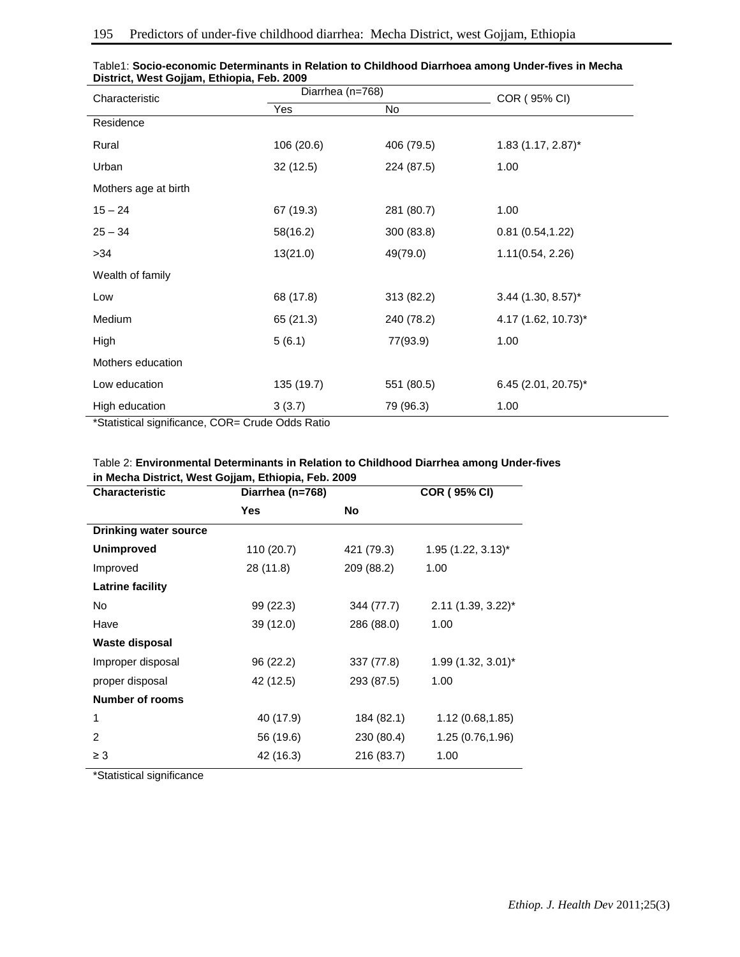| Characteristic                                                        | Diarrhea (n=768) |            | COR (95% CI)         |
|-----------------------------------------------------------------------|------------------|------------|----------------------|
|                                                                       | Yes              | No         |                      |
| Residence                                                             |                  |            |                      |
| Rural                                                                 | 106 (20.6)       | 406 (79.5) | $1.83$ (1.17, 2.87)* |
| Urban                                                                 | 32(12.5)         | 224 (87.5) | 1.00                 |
| Mothers age at birth                                                  |                  |            |                      |
| $15 - 24$                                                             | 67 (19.3)        | 281 (80.7) | 1.00                 |
| $25 - 34$                                                             | 58(16.2)         | 300 (83.8) | 0.81(0.54, 1.22)     |
| >34                                                                   | 13(21.0)         | 49(79.0)   | 1.11(0.54, 2.26)     |
| Wealth of family                                                      |                  |            |                      |
| Low                                                                   | 68 (17.8)        | 313 (82.2) | $3.44$ (1.30, 8.57)* |
| Medium                                                                | 65 (21.3)        | 240 (78.2) | 4.17 (1.62, 10.73)*  |
| High                                                                  | 5(6.1)           | 77(93.9)   | 1.00                 |
| Mothers education                                                     |                  |            |                      |
| Low education                                                         | 135 (19.7)       | 551 (80.5) | 6.45 (2.01, 20.75)*  |
| High education<br>$*$ Clatical cineificance $CCD$ , Curole Odde Datio | 3(3.7)           | 79 (96.3)  | 1.00                 |

| Table1: Socio-economic Determinants in Relation to Childhood Diarrhoea among Under-fives in Mecha |  |
|---------------------------------------------------------------------------------------------------|--|
| District, West Gojjam, Ethiopia, Feb. 2009                                                        |  |

\*Statistical significance, COR= Crude Odds Ratio

# Table 2: **Environmental Determinants in Relation to Childhood Diarrhea among Under-fives in Mecha District, West Gojjam, Ethiopia, Feb. 2009**

| <b>Characteristic</b>        |            | Diarrhea (n=768) |                                  |
|------------------------------|------------|------------------|----------------------------------|
|                              | <b>Yes</b> | <b>No</b>        |                                  |
| <b>Drinking water source</b> |            |                  |                                  |
| <b>Unimproved</b>            | 110 (20.7) | 421 (79.3)       | $1.95$ (1.22, 3.13) <sup>*</sup> |
| Improved                     | 28 (11.8)  | 209 (88.2)       | 1.00                             |
| <b>Latrine facility</b>      |            |                  |                                  |
| No                           | 99 (22.3)  | 344 (77.7)       | $2.11$ (1.39, 3.22) <sup>*</sup> |
| Have                         | 39 (12.0)  | 286 (88.0)       | 1.00                             |
| Waste disposal               |            |                  |                                  |
| Improper disposal            | 96 (22.2)  | 337 (77.8)       | $1.99(1.32, 3.01)^{*}$           |
| proper disposal              | 42 (12.5)  | 293 (87.5)       | 1.00                             |
| <b>Number of rooms</b>       |            |                  |                                  |
| 1                            | 40 (17.9)  | 184 (82.1)       | 1.12(0.68, 1.85)                 |
| $\overline{2}$               | 56 (19.6)  | 230 (80.4)       | 1.25 (0.76,1.96)                 |
| $\geq 3$                     | 42 (16.3)  | 216 (83.7)       | 1.00                             |

\*Statistical significance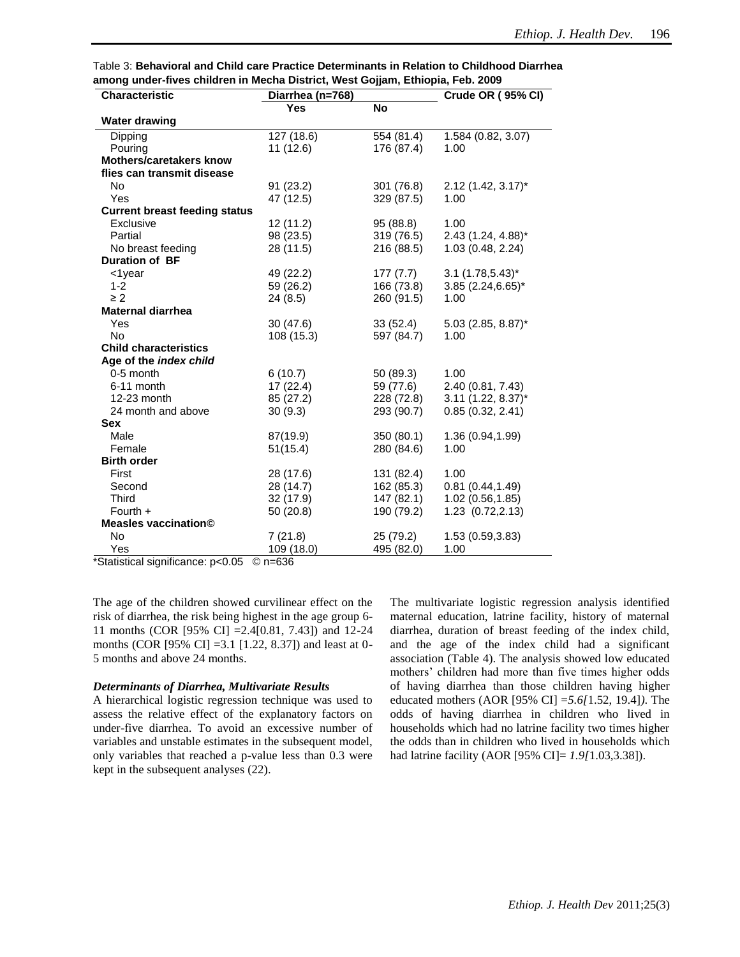| Table 3: Behavioral and Child care Practice Determinants in Relation to Childhood Diarrhea |  |
|--------------------------------------------------------------------------------------------|--|
| among under-fives children in Mecha District, West Gojjam, Ethiopia, Feb. 2009             |  |

| <b>Characteristic</b>                | Diarrhea (n=768) |            | Crude OR (95% CI)    |
|--------------------------------------|------------------|------------|----------------------|
|                                      | <b>Yes</b>       | <b>No</b>  |                      |
| <b>Water drawing</b>                 |                  |            |                      |
| Dipping                              | 127 (18.6)       | 554 (81.4) | 1.584 (0.82, 3.07)   |
| Pouring                              | 11 (12.6)        | 176 (87.4) | 1.00                 |
| <b>Mothers/caretakers know</b>       |                  |            |                      |
| flies can transmit disease           |                  |            |                      |
| N <sub>o</sub>                       | 91 (23.2)        | 301 (76.8) | $2.12$ (1.42, 3.17)* |
| Yes                                  | 47 (12.5)        | 329 (87.5) | 1.00                 |
| <b>Current breast feeding status</b> |                  |            |                      |
| Exclusive                            | 12 (11.2)        | 95 (88.8)  | 1.00                 |
| Partial                              | 98 (23.5)        | 319 (76.5) | 2.43 (1.24, 4.88)*   |
| No breast feeding                    | 28 (11.5)        | 216 (88.5) | 1.03 (0.48, 2.24)    |
| <b>Duration of BF</b>                |                  |            |                      |
| $<$ 1year                            | 49 (22.2)        | 177 (7.7)  | $3.1 (1.78, 5.43)^*$ |
| $1 - 2$                              | 59 (26.2)        | 166 (73.8) | $3.85$ (2.24,6.65)*  |
| $\geq 2$                             | 24(8.5)          | 260 (91.5) | 1.00                 |
| <b>Maternal diarrhea</b>             |                  |            |                      |
| Yes                                  | 30(47.6)         | 33(52.4)   | 5.03 (2.85, 8.87)*   |
| <b>No</b>                            | 108 (15.3)       | 597 (84.7) | 1.00                 |
| <b>Child characteristics</b>         |                  |            |                      |
| Age of the index child               |                  |            |                      |
| 0-5 month                            | 6(10.7)          | 50 (89.3)  | 1.00                 |
| 6-11 month                           | 17(22.4)         | 59 (77.6)  | 2.40 (0.81, 7.43)    |
| 12-23 month                          | 85 (27.2)        | 228 (72.8) | $3.11$ (1.22, 8.37)* |
| 24 month and above                   | 30(9.3)          | 293 (90.7) | 0.85(0.32, 2.41)     |
| <b>Sex</b>                           |                  |            |                      |
| Male                                 | 87(19.9)         | 350 (80.1) | 1.36 (0.94,1.99)     |
| Female                               | 51(15.4)         | 280 (84.6) | 1.00                 |
| <b>Birth order</b>                   |                  |            |                      |
| First                                | 28 (17.6)        | 131 (82.4) | 1.00                 |
| Second                               | 28 (14.7)        | 162 (85.3) | 0.81(0.44, 1.49)     |
| <b>Third</b>                         | 32 (17.9)        | 147 (82.1) | 1.02 (0.56,1.85)     |
| Fourth $+$                           | 50 (20.8)        | 190 (79.2) | 1.23 (0.72,2.13)     |
| <b>Measles vaccination©</b>          |                  |            |                      |
| No                                   | 7(21.8)          | 25 (79.2)  | 1.53 (0.59,3.83)     |
| Yes                                  | 109 (18.0)       | 495 (82.0) | 1.00                 |

\*Statistical significance: p<0.05 © n=636

The age of the children showed curvilinear effect on the risk of diarrhea, the risk being highest in the age group 6- 11 months (COR [95% CI] =2.4[0.81, 7.43]) and 12-24 months (COR [95% CI] =3.1 [1.22, 8.37]) and least at 0- 5 months and above 24 months.

#### *Determinants of Diarrhea, Multivariate Results*

A hierarchical logistic regression technique was used to assess the relative effect of the explanatory factors on under-five diarrhea. To avoid an excessive number of variables and unstable estimates in the subsequent model, only variables that reached a p-value less than 0.3 were kept in the subsequent analyses (22).

The multivariate logistic regression analysis identified maternal education, latrine facility, history of maternal diarrhea, duration of breast feeding of the index child, and the age of the index child had a significant association (Table 4). The analysis showed low educated mothers' children had more than five times higher odds of having diarrhea than those children having higher educated mothers (AOR [95% CI] =*5.6[*1.52, 19.4]*)*. The odds of having diarrhea in children who lived in households which had no latrine facility two times higher the odds than in children who lived in households which had latrine facility (AOR [95% CI]= *1.9[*1.03,3.38]).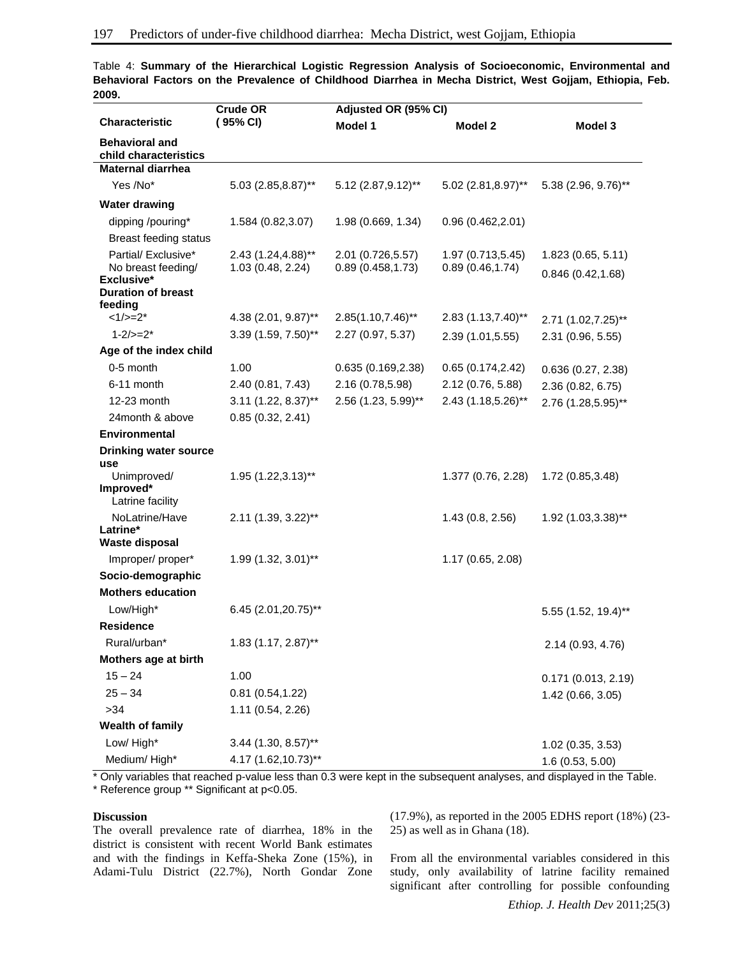|                                                         | <b>Crude OR</b>                         | Adjusted OR (95% CI)                   |                                       |                                         |
|---------------------------------------------------------|-----------------------------------------|----------------------------------------|---------------------------------------|-----------------------------------------|
| <b>Characteristic</b>                                   | (95% CI)                                | Model 1                                | Model 2                               | Model 3                                 |
| <b>Behavioral and</b><br>child characteristics          |                                         |                                        |                                       |                                         |
| <b>Maternal diarrhea</b>                                |                                         |                                        |                                       |                                         |
| Yes /No*                                                | 5.03 (2.85,8.87)**                      | 5.12 (2.87, 9.12)**                    | $5.02$ (2.81,8.97)**                  | 5.38 (2.96, 9.76)**                     |
| <b>Water drawing</b>                                    |                                         |                                        |                                       |                                         |
| dipping /pouring*                                       | 1.584 (0.82,3.07)                       | 1.98 (0.669, 1.34)                     | 0.96(0.462, 2.01)                     |                                         |
| <b>Breast feeding status</b>                            |                                         |                                        |                                       |                                         |
| Partial/ Exclusive*<br>No breast feeding/<br>Exclusive* | 2.43 (1.24,4.88)**<br>1.03 (0.48, 2.24) | 2.01 (0.726,5.57)<br>0.89(0.458, 1.73) | 1.97 (0.713,5.45)<br>0.89(0.46, 1.74) | 1.823 (0.65, 5.11)<br>0.846(0.42, 1.68) |
| <b>Duration of breast</b><br>feeding                    |                                         |                                        |                                       |                                         |
| $<1/>=2*$                                               | 4.38 (2.01, 9.87)**                     | $2.85(1.10, 7.46)$ **                  | 2.83 (1.13,7.40)**                    | 2.71 (1.02,7.25)**                      |
| $1 - 2 / = 2^*$                                         | 3.39 (1.59, 7.50)**                     | 2.27 (0.97, 5.37)                      | 2.39 (1.01,5.55)                      | 2.31 (0.96, 5.55)                       |
| Age of the index child                                  |                                         |                                        |                                       |                                         |
| 0-5 month                                               | 1.00                                    | 0.635(0.169, 2.38)                     | 0.65(0.174, 2.42)                     | 0.636(0.27, 2.38)                       |
| 6-11 month                                              | 2.40 (0.81, 7.43)                       | 2.16 (0.78,5.98)                       | 2.12 (0.76, 5.88)                     | 2.36 (0.82, 6.75)                       |
| 12-23 month                                             | $3.11$ (1.22, 8.37)**                   | 2.56 (1.23, 5.99)**                    | 2.43 (1.18,5.26)**                    | 2.76 (1.28,5.95)**                      |
| 24month & above                                         | 0.85(0.32, 2.41)                        |                                        |                                       |                                         |
| <b>Environmental</b>                                    |                                         |                                        |                                       |                                         |
| <b>Drinking water source</b>                            |                                         |                                        |                                       |                                         |
| use<br>Unimproved/<br>Improved*<br>Latrine facility     | 1.95 (1.22,3.13)**                      |                                        | 1.377 (0.76, 2.28)                    | 1.72 (0.85,3.48)                        |
| NoLatrine/Have<br>Latrine*                              | 2.11 (1.39, 3.22)**                     |                                        | 1.43(0.8, 2.56)                       | 1.92 (1.03,3.38)**                      |
| <b>Waste disposal</b>                                   |                                         |                                        |                                       |                                         |
| Improper/proper*                                        | 1.99 (1.32, 3.01)**                     |                                        | 1.17 (0.65, 2.08)                     |                                         |
| Socio-demographic                                       |                                         |                                        |                                       |                                         |
| <b>Mothers education</b>                                |                                         |                                        |                                       |                                         |
| Low/High*                                               | 6.45 (2.01, 20.75)**                    |                                        |                                       | 5.55 (1.52, 19.4)**                     |
| <b>Residence</b>                                        |                                         |                                        |                                       |                                         |
| Rural/urban*                                            | 1.83 (1.17, 2.87)**                     |                                        |                                       | 2.14 (0.93, 4.76)                       |
| Mothers age at birth                                    |                                         |                                        |                                       |                                         |
| $15 - 24$                                               | 1.00                                    |                                        |                                       | 0.171(0.013, 2.19)                      |
| $25 - 34$<br>>34                                        | 0.81(0.54, 1.22)                        |                                        |                                       | 1.42 (0.66, 3.05)                       |
|                                                         | 1.11 (0.54, 2.26)                       |                                        |                                       |                                         |
| Wealth of family<br>Low/High*                           | 3.44 (1.30, 8.57)**                     |                                        |                                       |                                         |
| Medium/High*                                            | 4.17 (1.62,10.73)**                     |                                        |                                       | $1.02$ (0.35, 3.53)                     |
|                                                         |                                         |                                        |                                       | 1.6 (0.53, 5.00)                        |

Table 4: **Summary of the Hierarchical Logistic Regression Analysis of Socioeconomic, Environmental and Behavioral Factors on the Prevalence of Childhood Diarrhea in Mecha District, West Gojjam, Ethiopia, Feb. 2009.**

\* Only variables that reached p-value less than 0.3 were kept in the subsequent analyses, and displayed in the Table.

\* Reference group \*\* Significant at p<0.05.

# **Discussion**

The overall prevalence rate of diarrhea, 18% in the district is consistent with recent World Bank estimates and with the findings in Keffa-Sheka Zone (15%), in Adami-Tulu District (22.7%), North Gondar Zone

(17.9%), as reported in the 2005 EDHS report (18%) (23- 25) as well as in Ghana (18).

From all the environmental variables considered in this study, only availability of latrine facility remained significant after controlling for possible confounding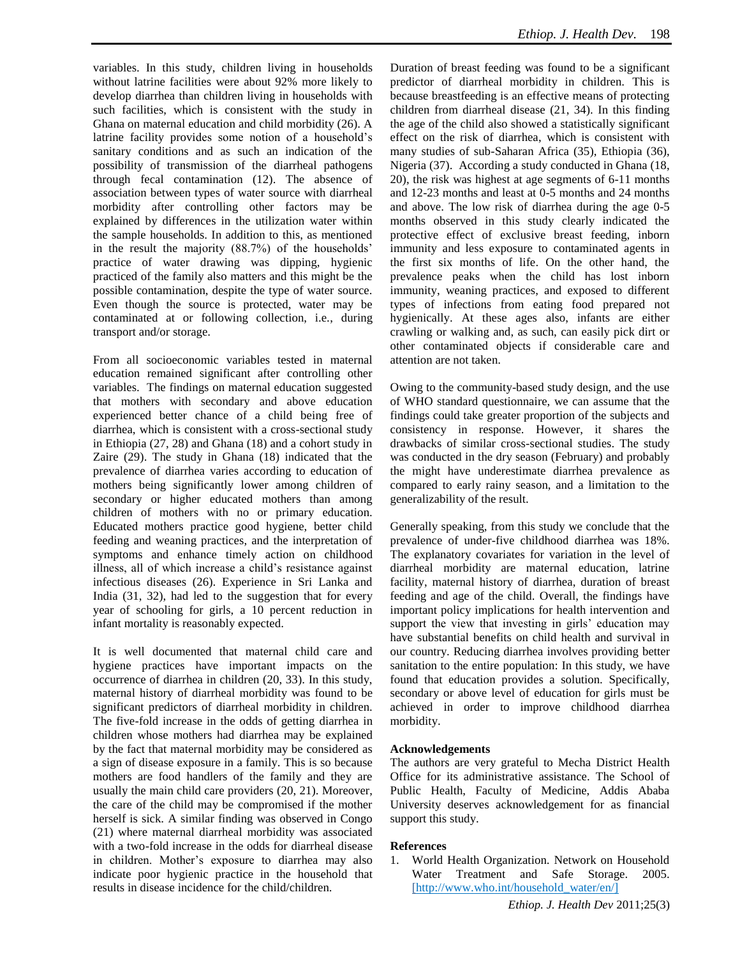variables. In this study, children living in households without latrine facilities were about 92% more likely to develop diarrhea than children living in households with such facilities, which is consistent with the study in Ghana on maternal education and child morbidity (26). A latrine facility provides some notion of a household's sanitary conditions and as such an indication of the possibility of transmission of the diarrheal pathogens through fecal contamination (12). The absence of association between types of water source with diarrheal morbidity after controlling other factors may be explained by differences in the utilization water within the sample households. In addition to this, as mentioned in the result the majority (88.7%) of the households' practice of water drawing was dipping, hygienic practiced of the family also matters and this might be the possible contamination, despite the type of water source. Even though the source is protected, water may be contaminated at or following collection, i.e., during transport and/or storage.

From all socioeconomic variables tested in maternal education remained significant after controlling other variables. The findings on maternal education suggested that mothers with secondary and above education experienced better chance of a child being free of diarrhea, which is consistent with a cross-sectional study in Ethiopia (27, 28) and Ghana (18) and a cohort study in Zaire (29). The study in Ghana (18) indicated that the prevalence of diarrhea varies according to education of mothers being significantly lower among children of secondary or higher educated mothers than among children of mothers with no or primary education. Educated mothers practice good hygiene, better child feeding and weaning practices, and the interpretation of symptoms and enhance timely action on childhood illness, all of which increase a child's resistance against infectious diseases (26). Experience in Sri Lanka and India (31, 32), had led to the suggestion that for every year of schooling for girls, a 10 percent reduction in infant mortality is reasonably expected.

It is well documented that maternal child care and hygiene practices have important impacts on the occurrence of diarrhea in children (20, 33). In this study, maternal history of diarrheal morbidity was found to be significant predictors of diarrheal morbidity in children. The five-fold increase in the odds of getting diarrhea in children whose mothers had diarrhea may be explained by the fact that maternal morbidity may be considered as a sign of disease exposure in a family. This is so because mothers are food handlers of the family and they are usually the main child care providers (20, 21). Moreover, the care of the child may be compromised if the mother herself is sick. A similar finding was observed in Congo (21) where maternal diarrheal morbidity was associated with a two-fold increase in the odds for diarrheal disease in children. Mother's exposure to diarrhea may also indicate poor hygienic practice in the household that results in disease incidence for the child/children.

Duration of breast feeding was found to be a significant predictor of diarrheal morbidity in children. This is because breastfeeding is an effective means of protecting children from diarrheal disease (21, 34). In this finding the age of the child also showed a statistically significant effect on the risk of diarrhea, which is consistent with many studies of sub-Saharan Africa (35), Ethiopia (36), Nigeria (37). According a study conducted in Ghana (18, 20), the risk was highest at age segments of 6-11 months and 12-23 months and least at 0-5 months and 24 months and above. The low risk of diarrhea during the age 0-5 months observed in this study clearly indicated the protective effect of exclusive breast feeding, inborn immunity and less exposure to contaminated agents in the first six months of life. On the other hand, the prevalence peaks when the child has lost inborn immunity, weaning practices, and exposed to different types of infections from eating food prepared not hygienically. At these ages also, infants are either crawling or walking and, as such, can easily pick dirt or other contaminated objects if considerable care and attention are not taken.

Owing to the community-based study design, and the use of WHO standard questionnaire, we can assume that the findings could take greater proportion of the subjects and consistency in response. However, it shares the drawbacks of similar cross-sectional studies. The study was conducted in the dry season (February) and probably the might have underestimate diarrhea prevalence as compared to early rainy season, and a limitation to the generalizability of the result.

Generally speaking, from this study we conclude that the prevalence of under-five childhood diarrhea was 18%. The explanatory covariates for variation in the level of diarrheal morbidity are maternal education, latrine facility, maternal history of diarrhea, duration of breast feeding and age of the child. Overall, the findings have important policy implications for health intervention and support the view that investing in girls' education may have substantial benefits on child health and survival in our country. Reducing diarrhea involves providing better sanitation to the entire population: In this study, we have found that education provides a solution. Specifically, secondary or above level of education for girls must be achieved in order to improve childhood diarrhea morbidity.

## **Acknowledgements**

The authors are very grateful to Mecha District Health Office for its administrative assistance. The School of Public Health, Faculty of Medicine, Addis Ababa University deserves acknowledgement for as financial support this study.

#### **References**

1. World Health Organization. Network on Household Water Treatment and Safe Storage. 2005. [http://www.who.int/household\_water/en/]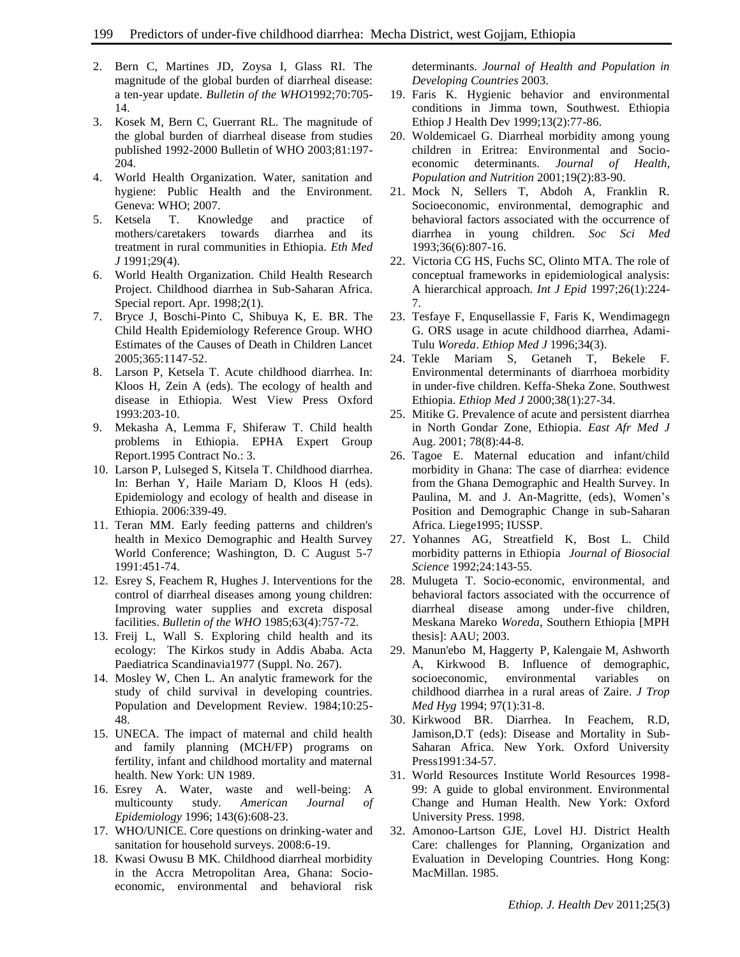- 2. Bern C, Martines JD, Zoysa I, Glass RI. The magnitude of the global burden of diarrheal disease: a ten-year update. *Bulletin of the WHO*1992;70:705- 14.
- 3. Kosek M, Bern C, Guerrant RL. The magnitude of the global burden of diarrheal disease from studies published 1992-2000 Bulletin of WHO 2003;81:197- 204.
- 4. World Health Organization. Water, sanitation and hygiene: Public Health and the Environment. Geneva: WHO; 2007.
- 5. Ketsela T. Knowledge and practice of mothers/caretakers towards diarrhea and its treatment in rural communities in Ethiopia. *Eth Med J* 1991;29(4).
- 6. World Health Organization. Child Health Research Project. Childhood diarrhea in Sub-Saharan Africa. Special report. Apr. 1998;2(1).
- 7. Bryce J, Boschi-Pinto C, Shibuya K, E. BR. The Child Health Epidemiology Reference Group. WHO Estimates of the Causes of Death in Children Lancet 2005;365:1147-52.
- 8. Larson P, Ketsela T. Acute childhood diarrhea. In: Kloos H, Zein A (eds). The ecology of health and disease in Ethiopia. West View Press Oxford 1993:203-10.
- 9. Mekasha A, Lemma F, Shiferaw T. Child health problems in Ethiopia. EPHA Expert Group Report.1995 Contract No.: 3.
- 10. Larson P, Lulseged S, Kitsela T. Childhood diarrhea. In: Berhan Y, Haile Mariam D, Kloos H (eds). Epidemiology and ecology of health and disease in Ethiopia. 2006:339-49.
- 11. Teran MM. Early feeding patterns and children's health in Mexico Demographic and Health Survey World Conference; Washington, D. C August 5-7 1991:451-74.
- 12. Esrey S, Feachem R, Hughes J. Interventions for the control of diarrheal diseases among young children: Improving water supplies and excreta disposal facilities. *Bulletin of the WHO* 1985;63(4):757-72.
- 13. Freij L, Wall S. Exploring child health and its ecology: The Kirkos study in Addis Ababa. Acta Paediatrica Scandinavia1977 (Suppl. No. 267).
- 14. Mosley W, Chen L. An analytic framework for the study of child survival in developing countries. Population and Development Review. 1984;10:25- 48.
- 15. UNECA. The impact of maternal and child health and family planning (MCH/FP) programs on fertility, infant and childhood mortality and maternal health. New York: UN 1989.
- 16. Esrey A. Water, waste and well-being: A multicounty study. *American Journal of Epidemiology* 1996; 143(6):608-23.
- 17. WHO/UNICE. Core questions on drinking-water and sanitation for household surveys. 2008:6-19.
- 18. Kwasi Owusu B MK. Childhood diarrheal morbidity in the Accra Metropolitan Area, Ghana: Socioeconomic, environmental and behavioral risk

determinants. *Journal of Health and Population in Developing Countries* 2003.

- 19. Faris K. Hygienic behavior and environmental conditions in Jimma town, Southwest. Ethiopia Ethiop J Health Dev 1999;13(2):77-86.
- 20. Woldemicael G. Diarrheal morbidity among young children in Eritrea: Environmental and Socioeconomic determinants. *Journal of Health, Population and Nutrition* 2001;19(2):83-90.
- 21. Mock N, Sellers T, Abdoh A, Franklin R. Socioeconomic, environmental, demographic and behavioral factors associated with the occurrence of diarrhea in young children. *Soc Sci Med* 1993;36(6):807-16.
- 22. Victoria CG HS, Fuchs SC, Olinto MTA. The role of conceptual frameworks in epidemiological analysis: A hierarchical approach. *Int J Epid* 1997;26(1):224- 7.
- 23. Tesfaye F, Enqusellassie F, Faris K, Wendimagegn G. ORS usage in acute childhood diarrhea, Adami-Tulu *Woreda*. *Ethiop Med J* 1996;34(3).
- 24. Tekle Mariam S, Getaneh T, Bekele F. Environmental determinants of diarrhoea morbidity in under-five children. Keffa-Sheka Zone. Southwest Ethiopia. *Ethiop Med J* 2000;38(1):27-34.
- 25. Mitike G. Prevalence of acute and persistent diarrhea in North Gondar Zone, Ethiopia. *East Afr Med J* Aug. 2001; 78(8):44-8.
- 26. Tagoe E. Maternal education and infant/child morbidity in Ghana: The case of diarrhea: evidence from the Ghana Demographic and Health Survey. In Paulina, M. and J. An-Magritte, (eds), Women's Position and Demographic Change in sub-Saharan Africa. Liege1995; IUSSP.
- 27. Yohannes AG, Streatfield K, Bost L. Child morbidity patterns in Ethiopia *Journal of Biosocial Science* 1992;24:143-55.
- 28. Mulugeta T. Socio-economic, environmental, and behavioral factors associated with the occurrence of diarrheal disease among under-five children, Meskana Mareko *Woreda*, Southern Ethiopia [MPH thesis]: AAU; 2003.
- 29. Manun'ebo M, Haggerty P, Kalengaie M, Ashworth A, Kirkwood B. Influence of demographic, socioeconomic, environmental variables on childhood diarrhea in a rural areas of Zaire. *J Trop Med Hyg* 1994; 97(1):31-8.
- 30. Kirkwood BR. Diarrhea. In Feachem, R.D, Jamison,D.T (eds): Disease and Mortality in Sub-Saharan Africa. New York. Oxford University Press1991:34-57.
- 31. World Resources Institute World Resources 1998- 99: A guide to global environment. Environmental Change and Human Health. New York: Oxford University Press. 1998.
- 32. Amonoo-Lartson GJE, Lovel HJ. District Health Care: challenges for Planning, Organization and Evaluation in Developing Countries. Hong Kong: MacMillan. 1985.